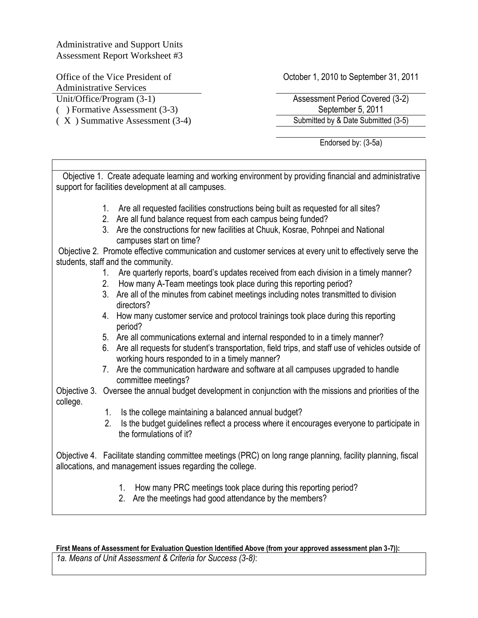Administrative and Support Units Assessment Report Worksheet #3

Office of the Vice President of Administrative Services Unit/Office/Program (3-1) Assessment Period Covered (3-2)

October 1, 2010 to September 31, 2011

( ) Formative Assessment (3-3) September 5, 2011 ( X ) Summative Assessment (3-4) Submitted by & Date Submitted (3-5)

Endorsed by: (3-5a)

 Objective 1. Create adequate learning and working environment by providing financial and administrative support for facilities development at all campuses. 1. Are all requested facilities constructions being built as requested for all sites? 2. Are all fund balance request from each campus being funded? 3. Are the constructions for new facilities at Chuuk, Kosrae, Pohnpei and National campuses start on time? Objective 2. Promote effective communication and customer services at every unit to effectively serve the students, staff and the community. 1. Are quarterly reports, board's updates received from each division in a timely manner? 2. How many A-Team meetings took place during this reporting period? 3. Are all of the minutes from cabinet meetings including notes transmitted to division directors? 4. How many customer service and protocol trainings took place during this reporting period? 5. Are all communications external and internal responded to in a timely manner? 6. Are all requests for student's transportation, field trips, and staff use of vehicles outside of working hours responded to in a timely manner? 7. Are the communication hardware and software at all campuses upgraded to handle committee meetings? Objective 3. Oversee the annual budget development in conjunction with the missions and priorities of the college. 1. Is the college maintaining a balanced annual budget? 2. Is the budget guidelines reflect a process where it encourages everyone to participate in the formulations of it? Objective 4. Facilitate standing committee meetings (PRC) on long range planning, facility planning, fiscal allocations, and management issues regarding the college. 1. How many PRC meetings took place during this reporting period? 2. Are the meetings had good attendance by the members?

# **First Means of Assessment for Evaluation Question Identified Above (from your approved assessment plan 3-7)):**

*1a. Means of Unit Assessment & Criteria for Success (3-8)*: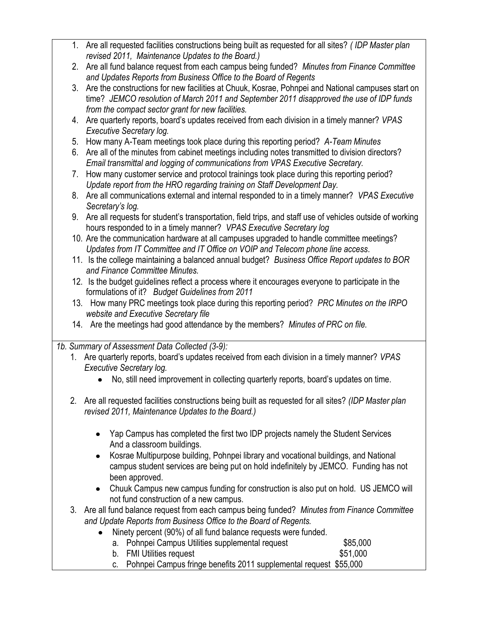- 3. Are all fund balance request from each campus being funded? *Minutes from Finance Committee and Update Reports from Business Office to the Board of Regents.*
	- Ninety percent (90%) of all fund balance requests were funded.  $\bullet$

|             | a. Pohnpei Campus Utilities supplemental request | \$85,000 |
|-------------|--------------------------------------------------|----------|
| ___________ |                                                  | 1.001    |

b. FMI Utilities request \$51,000 c. Pohnpei Campus fringe benefits 2011 supplemental request \$55,000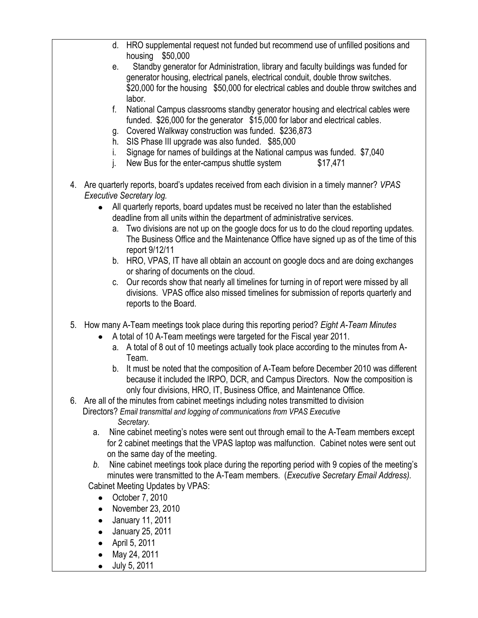- d. HRO supplemental request not funded but recommend use of unfilled positions and housing \$50,000
- e. Standby generator for Administration, library and faculty buildings was funded for generator housing, electrical panels, electrical conduit, double throw switches. \$20,000 for the housing \$50,000 for electrical cables and double throw switches and labor.
- f. National Campus classrooms standby generator housing and electrical cables were funded. \$26,000 for the generator \$15,000 for labor and electrical cables.
- g. Covered Walkway construction was funded. \$236,873
- h. SIS Phase III upgrade was also funded. \$85,000
- i. Signage for names of buildings at the National campus was funded. \$7,040
- j. New Bus for the enter-campus shuttle system  $$17,471$
- 4. Are quarterly reports, board's updates received from each division in a timely manner? *VPAS Executive Secretary log.*
	- All quarterly reports, board updates must be received no later than the established  $\bullet$ deadline from all units within the department of administrative services.
		- a. Two divisions are not up on the google docs for us to do the cloud reporting updates. The Business Office and the Maintenance Office have signed up as of the time of this report 9/12/11
		- b. HRO, VPAS, IT have all obtain an account on google docs and are doing exchanges or sharing of documents on the cloud.
		- c. Our records show that nearly all timelines for turning in of report were missed by all divisions. VPAS office also missed timelines for submission of reports quarterly and reports to the Board.
- 5. How many A-Team meetings took place during this reporting period? *Eight A-Team Minutes*
	- A total of 10 A-Team meetings were targeted for the Fiscal year 2011.
		- a. A total of 8 out of 10 meetings actually took place according to the minutes from A-Team.
		- b. It must be noted that the composition of A-Team before December 2010 was different because it included the IRPO, DCR, and Campus Directors. Now the composition is only four divisions, HRO, IT, Business Office, and Maintenance Office.
- 6. Are all of the minutes from cabinet meetings including notes transmitted to division Directors? *Email transmittal and logging of communications from VPAS Executive Secretary.*
	- a. Nine cabinet meeting's notes were sent out through email to the A-Team members except for 2 cabinet meetings that the VPAS laptop was malfunction. Cabinet notes were sent out on the same day of the meeting.
	- *b.* Nine cabinet meetings took place during the reporting period with 9 copies of the meeting's minutes were transmitted to the A-Team members. (*Executive Secretary Email Address).* Cabinet Meeting Updates by VPAS:
		- October 7, 2010
		- $\bullet$  November 23, 2010
		- January 11, 2011  $\bullet$
		- $\bullet$ January 25, 2011
		- April 5, 2011  $\bullet$
		- May 24, 2011  $\bullet$
		- July 5, 2011 $\bullet$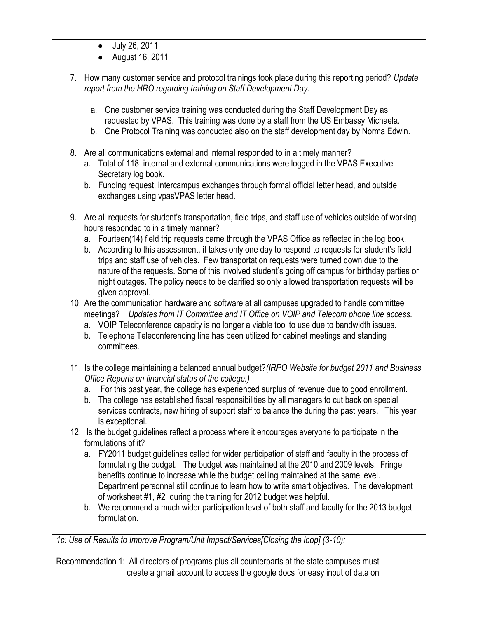- July 26, 2011  $\bullet$
- August 16, 2011
- 7. How many customer service and protocol trainings took place during this reporting period? *Update report from the HRO regarding training on Staff Development Day.*
	- a. One customer service training was conducted during the Staff Development Day as requested by VPAS. This training was done by a staff from the US Embassy Michaela.
	- b. One Protocol Training was conducted also on the staff development day by Norma Edwin.
- 8. Are all communications external and internal responded to in a timely manner?
	- a. Total of 118 internal and external communications were logged in the VPAS Executive Secretary log book.
	- b. Funding request, intercampus exchanges through formal official letter head, and outside exchanges using vpasVPAS letter head.
- 9. Are all requests for student's transportation, field trips, and staff use of vehicles outside of working hours responded to in a timely manner?
	- a. Fourteen(14) field trip requests came through the VPAS Office as reflected in the log book.
	- b. According to this assessment, it takes only one day to respond to requests for student's field trips and staff use of vehicles. Few transportation requests were turned down due to the nature of the requests. Some of this involved student's going off campus for birthday parties or night outages. The policy needs to be clarified so only allowed transportation requests will be given approval.
- 10. Are the communication hardware and software at all campuses upgraded to handle committee meetings? *Updates from IT Committee and IT Office on VOIP and Telecom phone line access.*
	- a. VOIP Teleconference capacity is no longer a viable tool to use due to bandwidth issues.
	- b. Telephone Teleconferencing line has been utilized for cabinet meetings and standing committees.
- 11. Is the college maintaining a balanced annual budget?*(IRPO Website for budget 2011 and Business Office Reports on financial status of the college.)*
	- a. For this past year, the college has experienced surplus of revenue due to good enrollment.
	- b. The college has established fiscal responsibilities by all managers to cut back on special services contracts, new hiring of support staff to balance the during the past years. This year is exceptional.
- 12. Is the budget guidelines reflect a process where it encourages everyone to participate in the formulations of it?
	- a. FY2011 budget guidelines called for wider participation of staff and faculty in the process of formulating the budget. The budget was maintained at the 2010 and 2009 levels. Fringe benefits continue to increase while the budget ceiling maintained at the same level. Department personnel still continue to learn how to write smart objectives. The development of worksheet #1, #2 during the training for 2012 budget was helpful.
	- b. We recommend a much wider participation level of both staff and faculty for the 2013 budget formulation.

*1c: Use of Results to Improve Program/Unit Impact/Services[Closing the loop] (3-10):*

Recommendation 1: All directors of programs plus all counterparts at the state campuses must create a gmail account to access the google docs for easy input of data on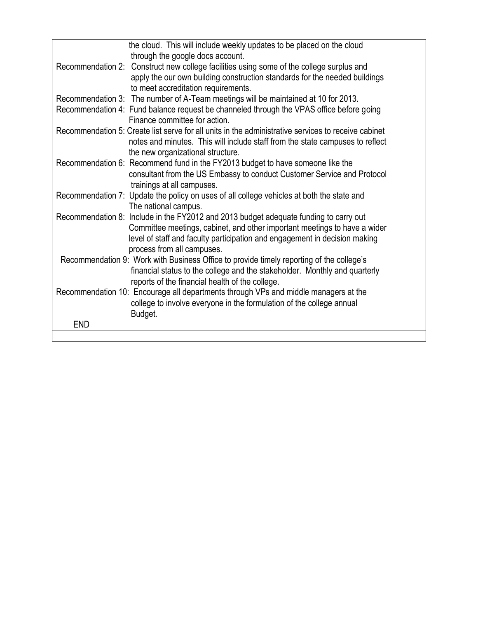| the cloud. This will include weekly updates to be placed on the cloud                               |
|-----------------------------------------------------------------------------------------------------|
| through the google docs account.                                                                    |
| Recommendation 2: Construct new college facilities using some of the college surplus and            |
| apply the our own building construction standards for the needed buildings                          |
| to meet accreditation requirements.                                                                 |
| Recommendation 3: The number of A-Team meetings will be maintained at 10 for 2013.                  |
| Recommendation 4: Fund balance request be channeled through the VPAS office before going            |
| Finance committee for action.                                                                       |
| Recommendation 5: Create list serve for all units in the administrative services to receive cabinet |
| notes and minutes. This will include staff from the state campuses to reflect                       |
| the new organizational structure.                                                                   |
| Recommendation 6: Recommend fund in the FY2013 budget to have someone like the                      |
| consultant from the US Embassy to conduct Customer Service and Protocol                             |
| trainings at all campuses.                                                                          |
| Recommendation 7: Update the policy on uses of all college vehicles at both the state and           |
| The national campus.                                                                                |
| Recommendation 8: Include in the FY2012 and 2013 budget adequate funding to carry out               |
| Committee meetings, cabinet, and other important meetings to have a wider                           |
| level of staff and faculty participation and engagement in decision making                          |
| process from all campuses.                                                                          |
| Recommendation 9: Work with Business Office to provide timely reporting of the college's            |
| financial status to the college and the stakeholder. Monthly and quarterly                          |
| reports of the financial health of the college.                                                     |
| Recommendation 10: Encourage all departments through VPs and middle managers at the                 |
| college to involve everyone in the formulation of the college annual                                |
| Budget.                                                                                             |
| <b>END</b>                                                                                          |
|                                                                                                     |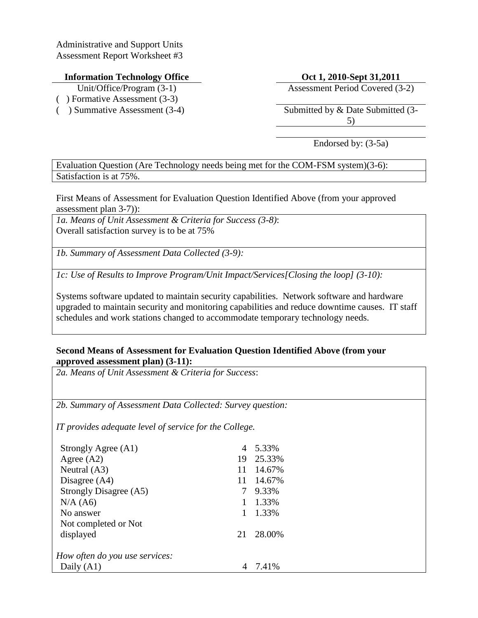Administrative and Support Units Assessment Report Worksheet #3

## **Information Technology Office Oct 1, 2010-Sept 31,2011**

- 
- ( ) Formative Assessment (3-3)
- 

Unit/Office/Program (3-1) Assessment Period Covered (3-2)

(a) Summative Assessment (3-4) Submitted by & Date Submitted (3-4) 5)

Endorsed by: (3-5a)

Evaluation Question (Are Technology needs being met for the COM-FSM system)(3-6): Satisfaction is at 75%.

First Means of Assessment for Evaluation Question Identified Above (from your approved assessment plan 3-7)):

*1a. Means of Unit Assessment & Criteria for Success (3-8)*: Overall satisfaction survey is to be at 75%

*1b. Summary of Assessment Data Collected (3-9):*

*1c: Use of Results to Improve Program/Unit Impact/Services[Closing the loop] (3-10):*

Systems software updated to maintain security capabilities. Network software and hardware upgraded to maintain security and monitoring capabilities and reduce downtime causes. IT staff schedules and work stations changed to accommodate temporary technology needs.

## **Second Means of Assessment for Evaluation Question Identified Above (from your approved assessment plan) (3-11):**

*2a. Means of Unit Assessment & Criteria for Success*:

*2b. Summary of Assessment Data Collected: Survey question:* 

*IT provides adequate level of service for the College.* 

| Strongly Agree (A1)            | 4  | 5.33%  |
|--------------------------------|----|--------|
| Agree $(A2)$                   | 19 | 25.33% |
| Neutral (A3)                   | 11 | 14.67% |
| Disagree $(A4)$                | 11 | 14.67% |
| Strongly Disagree (A5)         | 7  | 9.33%  |
| N/A (A6)                       | 1  | 1.33%  |
| No answer                      | 1  | 1.33%  |
| Not completed or Not           |    |        |
| displayed                      | 21 | 28.00% |
| How often do you use services: |    |        |
| Daily $(A1)$                   |    | 7.41%  |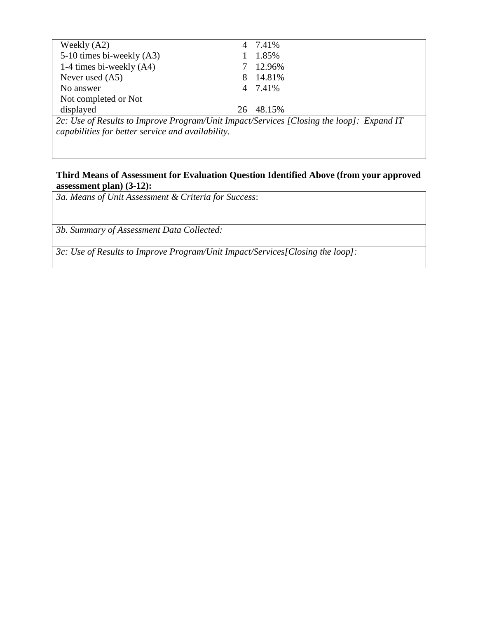| Weekly $(A2)$                                                                            |    | 7.41%   |  |  |
|------------------------------------------------------------------------------------------|----|---------|--|--|
| 5-10 times bi-weekly (A3)                                                                |    | 1.85%   |  |  |
| 1-4 times bi-weekly $(A4)$                                                               |    | 12.96%  |  |  |
| Never used $(A5)$                                                                        | 8  | 14.81%  |  |  |
| No answer                                                                                |    | 4 7.41% |  |  |
| Not completed or Not                                                                     |    |         |  |  |
| displayed                                                                                | 26 | 48.15%  |  |  |
| 2c: Use of Results to Improve Program/Unit Impact/Services [Closing the loop]: Expand IT |    |         |  |  |
| capabilities for better service and availability.                                        |    |         |  |  |

## **Third Means of Assessment for Evaluation Question Identified Above (from your approved assessment plan) (3-12):**

*3a. Means of Unit Assessment & Criteria for Success*:

*3b. Summary of Assessment Data Collected:*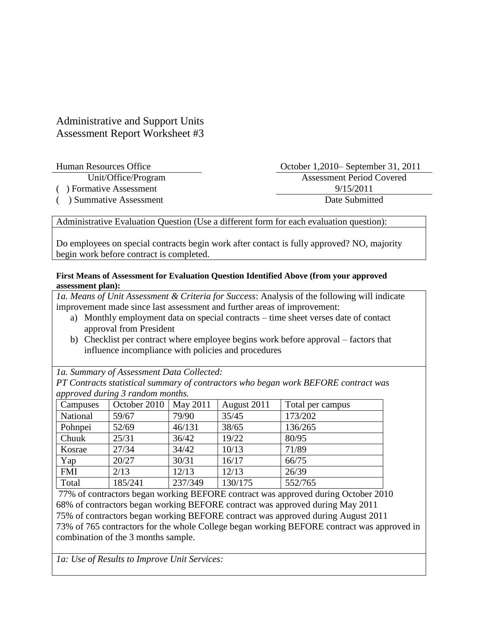# Administrative and Support Units Assessment Report Worksheet #3

( ) Summative Assessment Date Submitted

October 1,2010– September 31, 2011 Unit/Office/Program Assessment Period Covered (a) Formative Assessment 9/15/2011

Administrative Evaluation Question (Use a different form for each evaluation question):

Do employees on special contracts begin work after contact is fully approved? NO, majority begin work before contract is completed.

## **First Means of Assessment for Evaluation Question Identified Above (from your approved assessment plan):**

*1a. Means of Unit Assessment & Criteria for Success*: Analysis of the following will indicate improvement made since last assessment and further areas of improvement:

- a) Monthly employment data on special contracts time sheet verses date of contact approval from President
- b) Checklist per contract where employee begins work before approval factors that influence incompliance with policies and procedures

*1a. Summary of Assessment Data Collected:*

*PT Contracts statistical summary of contractors who began work BEFORE contract was approved during 3 random months.* 

| Campuses   | October 2010 | May 2011 | August 2011 | Total per campus |
|------------|--------------|----------|-------------|------------------|
| National   | 59/67        | 79/90    | 35/45       | 173/202          |
| Pohnpei    | 52/69        | 46/131   | 38/65       | 136/265          |
| Chuuk      | 25/31        | 36/42    | 19/22       | 80/95            |
| Kosrae     | 27/34        | 34/42    | 10/13       | 71/89            |
| Yap        | 20/27        | 30/31    | 16/17       | 66/75            |
| <b>FMI</b> | 2/13         | 12/13    | 12/13       | 26/39            |
| Total      | 185/241      | 237/349  | 130/175     | 552/765          |

77% of contractors began working BEFORE contract was approved during October 2010 68% of contractors began working BEFORE contract was approved during May 2011 75% of contractors began working BEFORE contract was approved during August 2011 73% of 765 contractors for the whole College began working BEFORE contract was approved in combination of the 3 months sample.

*1a: Use of Results to Improve Unit Services:*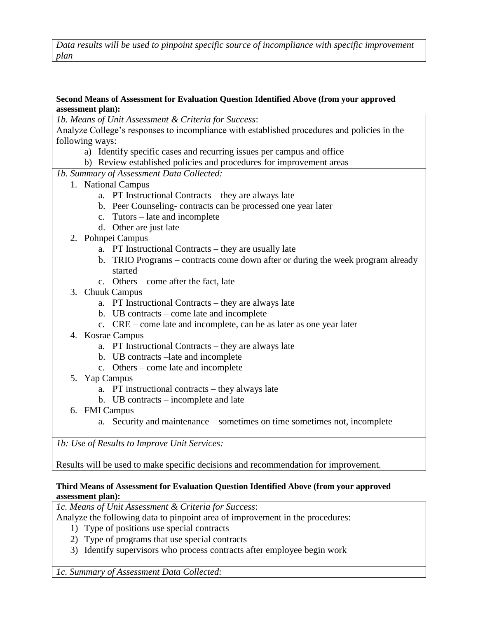*Data results will be used to pinpoint specific source of incompliance with specific improvement plan*

### **Second Means of Assessment for Evaluation Question Identified Above (from your approved assessment plan):**

*1b. Means of Unit Assessment & Criteria for Success*:

Analyze College's responses to incompliance with established procedures and policies in the following ways:

- a) Identify specific cases and recurring issues per campus and office
- b) Review established policies and procedures for improvement areas

*1b. Summary of Assessment Data Collected:* 

- 1. National Campus
	- a. PT Instructional Contracts they are always late
	- b. Peer Counseling- contracts can be processed one year later
	- c. Tutors late and incomplete
	- d. Other are just late
- 2. Pohnpei Campus
	- a. PT Instructional Contracts they are usually late
	- b. TRIO Programs contracts come down after or during the week program already started
	- c. Others come after the fact, late
- 3. Chuuk Campus
	- a. PT Instructional Contracts they are always late
	- b. UB contracts come late and incomplete
	- c. CRE come late and incomplete, can be as later as one year later
- 4. Kosrae Campus
	- a. PT Instructional Contracts they are always late
	- b. UB contracts –late and incomplete
	- c. Others come late and incomplete
- 5. Yap Campus
	- a. PT instructional contracts they always late
	- b. UB contracts incomplete and late
- 6. FMI Campus
	- a. Security and maintenance sometimes on time sometimes not, incomplete

*1b: Use of Results to Improve Unit Services:*

Results will be used to make specific decisions and recommendation for improvement.

#### **Third Means of Assessment for Evaluation Question Identified Above (from your approved assessment plan):**

*1c. Means of Unit Assessment & Criteria for Success*:

Analyze the following data to pinpoint area of improvement in the procedures:

- 1) Type of positions use special contracts
- 2) Type of programs that use special contracts
- 3) Identify supervisors who process contracts after employee begin work

*1c. Summary of Assessment Data Collected:*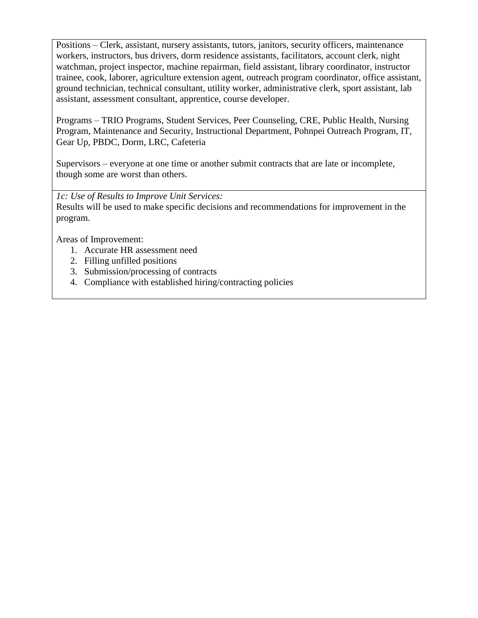Positions – Clerk, assistant, nursery assistants, tutors, janitors, security officers, maintenance workers, instructors, bus drivers, dorm residence assistants, facilitators, account clerk, night watchman, project inspector, machine repairman, field assistant, library coordinator, instructor trainee, cook, laborer, agriculture extension agent, outreach program coordinator, office assistant, ground technician, technical consultant, utility worker, administrative clerk, sport assistant, lab assistant, assessment consultant, apprentice, course developer.

Programs – TRIO Programs, Student Services, Peer Counseling, CRE, Public Health, Nursing Program, Maintenance and Security, Instructional Department, Pohnpei Outreach Program, IT, Gear Up, PBDC, Dorm, LRC, Cafeteria

Supervisors – everyone at one time or another submit contracts that are late or incomplete, though some are worst than others.

*1c: Use of Results to Improve Unit Services:*

Results will be used to make specific decisions and recommendations for improvement in the program.

Areas of Improvement:

- 1. Accurate HR assessment need
- 2. Filling unfilled positions
- 3. Submission/processing of contracts
- 4. Compliance with established hiring/contracting policies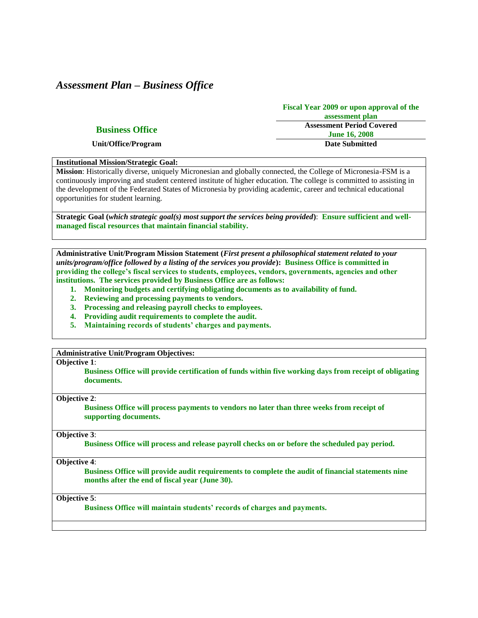# *Assessment Plan – Business Office*

|                        | <b>Fiscal Year 2009 or upon approval of the</b> |
|------------------------|-------------------------------------------------|
|                        | assessment plan                                 |
| <b>Business Office</b> | <b>Assessment Period Covered</b>                |
|                        | <b>June 16, 2008</b>                            |
| Unit/Office/Program    | <b>Date Submitted</b>                           |

#### **Institutional Mission/Strategic Goal:**

**Mission**: Historically diverse, uniquely Micronesian and globally connected, the College of Micronesia-FSM is a continuously improving and student centered institute of higher education. The college is committed to assisting in the development of the Federated States of Micronesia by providing academic, career and technical educational opportunities for student learning.

**Strategic Goal (***which strategic goal(s) most support the services being provided***)**: **Ensure sufficient and wellmanaged fiscal resources that maintain financial stability.**

**Administrative Unit/Program Mission Statement (***First present a philosophical statement related to your units/program/office followed by a listing of the services you provide***): Business Office is committed in providing the college's fiscal services to students, employees, vendors, governments, agencies and other institutions. The services provided by Business Office are as follows:**

- **1. Monitoring budgets and certifying obligating documents as to availability of fund.**
- **2. Reviewing and processing payments to vendors.**
- **3. Processing and releasing payroll checks to employees.**
- **4. Providing audit requirements to complete the audit.**
- **5. Maintaining records of students' charges and payments.**

**Administrative Unit/Program Objectives:** 

#### **Objective 1**:

**Business Office will provide certification of funds within five working days from receipt of obligating documents.**

#### **Objective 2**:

**Business Office will process payments to vendors no later than three weeks from receipt of supporting documents.**

#### **Objective 3**:

**Business Office will process and release payroll checks on or before the scheduled pay period.**

**Objective 4**:

**Business Office will provide audit requirements to complete the audit of financial statements nine months after the end of fiscal year (June 30).** 

**Objective 5**:

**Business Office will maintain students' records of charges and payments.**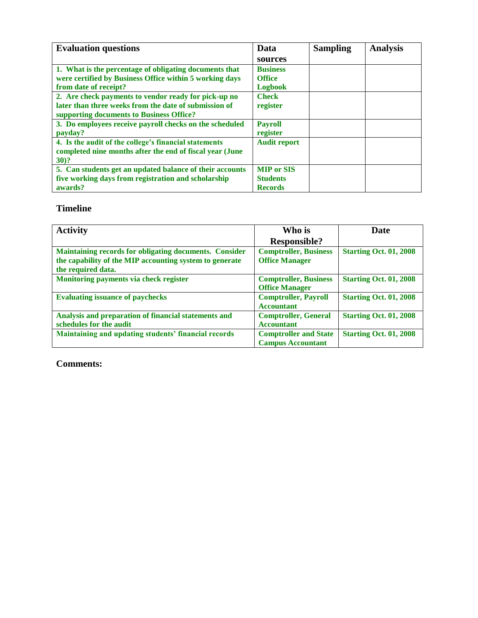| <b>Evaluation questions</b>                                                                                                                               | Data                                                   | <b>Sampling</b> | <b>Analysis</b> |
|-----------------------------------------------------------------------------------------------------------------------------------------------------------|--------------------------------------------------------|-----------------|-----------------|
|                                                                                                                                                           | sources                                                |                 |                 |
| 1. What is the percentage of obligating documents that<br>were certified by Business Office within 5 working days                                         | <b>Business</b><br><b>Office</b>                       |                 |                 |
| from date of receipt?                                                                                                                                     | <b>Logbook</b>                                         |                 |                 |
| 2. Are check payments to vendor ready for pick-up no<br>later than three weeks from the date of submission of<br>supporting documents to Business Office? | <b>Check</b><br>register                               |                 |                 |
| 3. Do employees receive payroll checks on the scheduled<br>payday?                                                                                        | <b>Payroll</b><br>register                             |                 |                 |
| 4. Is the audit of the college's financial statements<br>completed nine months after the end of fiscal year (June<br>$30)$ ?                              | <b>Audit report</b>                                    |                 |                 |
| 5. Can students get an updated balance of their accounts<br>five working days from registration and scholarship<br>awards?                                | <b>MIP or SIS</b><br><b>Students</b><br><b>Records</b> |                 |                 |

# **Timeline**

| <b>Activity</b>                                         | Who is                       | Date                          |
|---------------------------------------------------------|------------------------------|-------------------------------|
|                                                         | <b>Responsible?</b>          |                               |
| Maintaining records for obligating documents. Consider  | <b>Comptroller, Business</b> | <b>Starting Oct. 01, 2008</b> |
| the capability of the MIP accounting system to generate | <b>Office Manager</b>        |                               |
| the required data.                                      |                              |                               |
| Monitoring payments via check register                  | <b>Comptroller, Business</b> | <b>Starting Oct. 01, 2008</b> |
|                                                         | <b>Office Manager</b>        |                               |
| <b>Evaluating issuance of paychecks</b>                 | <b>Comptroller, Payroll</b>  | <b>Starting Oct. 01, 2008</b> |
|                                                         | <b>Accountant</b>            |                               |
| Analysis and preparation of financial statements and    | <b>Comptroller, General</b>  | <b>Starting Oct. 01, 2008</b> |
| schedules for the audit                                 | <b>Accountant</b>            |                               |
| Maintaining and updating students' financial records    | <b>Comptroller and State</b> | <b>Starting Oct. 01, 2008</b> |
|                                                         | <b>Campus Accountant</b>     |                               |

**Comments:**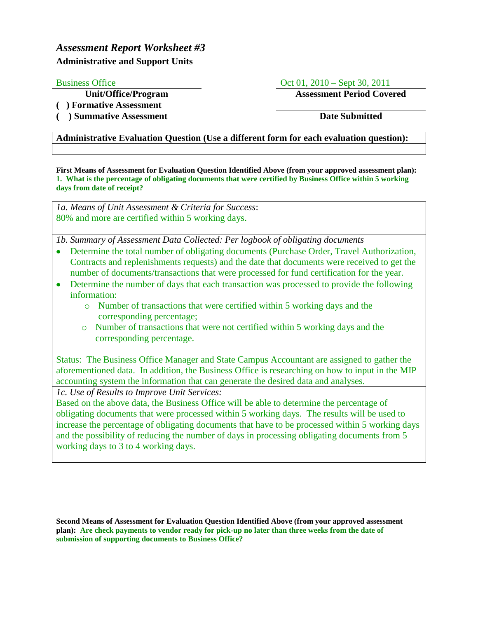# *Assessment Report Worksheet #3* **Administrative and Support Units**

Business Office Oct 01, 2010 – Sept 30, 2011

**Unit/Office/Program Assessment Period Covered**

**( ) Formative Assessment**

**( ) Summative Assessment Date Submitted**

## **Administrative Evaluation Question (Use a different form for each evaluation question):**

**First Means of Assessment for Evaluation Question Identified Above (from your approved assessment plan): 1. What is the percentage of obligating documents that were certified by Business Office within 5 working days from date of receipt?**

*1a. Means of Unit Assessment & Criteria for Success*: 80% and more are certified within 5 working days.

*1b. Summary of Assessment Data Collected: Per logbook of obligating documents*

- Determine the total number of obligating documents (Purchase Order, Travel Authorization, Contracts and replenishments requests) and the date that documents were received to get the number of documents/transactions that were processed for fund certification for the year.
- Determine the number of days that each transaction was processed to provide the following information:
	- o Number of transactions that were certified within 5 working days and the corresponding percentage;
	- o Number of transactions that were not certified within 5 working days and the corresponding percentage.

Status: The Business Office Manager and State Campus Accountant are assigned to gather the aforementioned data. In addition, the Business Office is researching on how to input in the MIP accounting system the information that can generate the desired data and analyses.

*1c. Use of Results to Improve Unit Services:*

Based on the above data, the Business Office will be able to determine the percentage of obligating documents that were processed within 5 working days. The results will be used to increase the percentage of obligating documents that have to be processed within 5 working days and the possibility of reducing the number of days in processing obligating documents from 5 working days to 3 to 4 working days.

**Second Means of Assessment for Evaluation Question Identified Above (from your approved assessment plan): Are check payments to vendor ready for pick-up no later than three weeks from the date of submission of supporting documents to Business Office?**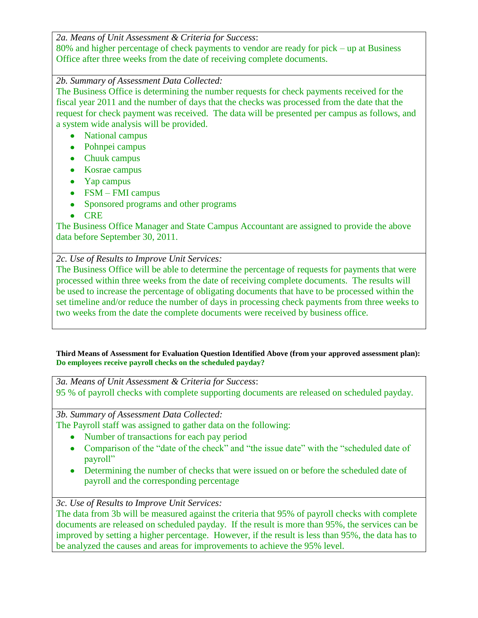*2a. Means of Unit Assessment & Criteria for Success*:

80% and higher percentage of check payments to vendor are ready for pick – up at Business Office after three weeks from the date of receiving complete documents.

## *2b. Summary of Assessment Data Collected:*

The Business Office is determining the number requests for check payments received for the fiscal year 2011 and the number of days that the checks was processed from the date that the request for check payment was received. The data will be presented per campus as follows, and a system wide analysis will be provided.

- National campus
- Pohnpei campus
- Chuuk campus
- Kosrae campus
- Yap campus
- FSM FMI campus
- Sponsored programs and other programs
- CRE

The Business Office Manager and State Campus Accountant are assigned to provide the above data before September 30, 2011.

## *2c. Use of Results to Improve Unit Services:*

The Business Office will be able to determine the percentage of requests for payments that were processed within three weeks from the date of receiving complete documents. The results will be used to increase the percentage of obligating documents that have to be processed within the set timeline and/or reduce the number of days in processing check payments from three weeks to two weeks from the date the complete documents were received by business office.

**Third Means of Assessment for Evaluation Question Identified Above (from your approved assessment plan): Do employees receive payroll checks on the scheduled payday?**

*3a. Means of Unit Assessment & Criteria for Success*: 95 % of payroll checks with complete supporting documents are released on scheduled payday.

*3b. Summary of Assessment Data Collected:*

The Payroll staff was assigned to gather data on the following:

- Number of transactions for each pay period
- Comparison of the "date of the check" and "the issue date" with the "scheduled date of payroll"
- Determining the number of checks that were issued on or before the scheduled date of payroll and the corresponding percentage

## *3c. Use of Results to Improve Unit Services:*

The data from 3b will be measured against the criteria that 95% of payroll checks with complete documents are released on scheduled payday. If the result is more than 95%, the services can be improved by setting a higher percentage. However, if the result is less than 95%, the data has to be analyzed the causes and areas for improvements to achieve the 95% level.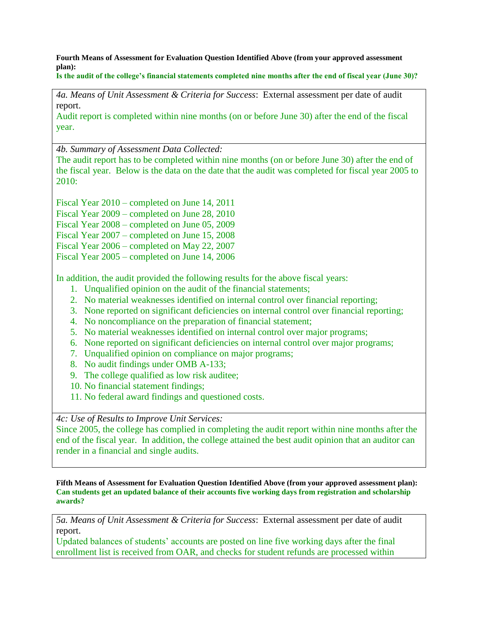**Fourth Means of Assessment for Evaluation Question Identified Above (from your approved assessment plan):**

**Is the audit of the college's financial statements completed nine months after the end of fiscal year (June 30)?**

*4a. Means of Unit Assessment & Criteria for Success*: External assessment per date of audit report.

Audit report is completed within nine months (on or before June 30) after the end of the fiscal year.

*4b. Summary of Assessment Data Collected:*

The audit report has to be completed within nine months (on or before June 30) after the end of the fiscal year. Below is the data on the date that the audit was completed for fiscal year 2005 to 2010:

Fiscal Year 2010 – completed on June 14, 2011

Fiscal Year 2009 – completed on June 28, 2010

Fiscal Year 2008 – completed on June 05, 2009

Fiscal Year 2007 – completed on June 15, 2008

Fiscal Year 2006 – completed on May 22, 2007

Fiscal Year 2005 – completed on June 14, 2006

In addition, the audit provided the following results for the above fiscal years:

- 1. Unqualified opinion on the audit of the financial statements;
- 2. No material weaknesses identified on internal control over financial reporting;
- 3. None reported on significant deficiencies on internal control over financial reporting;
- 4. No noncompliance on the preparation of financial statement;
- 5. No material weaknesses identified on internal control over major programs;
- 6. None reported on significant deficiencies on internal control over major programs;
- 7. Unqualified opinion on compliance on major programs;
- 8. No audit findings under OMB A-133;
- 9. The college qualified as low risk auditee;
- 10. No financial statement findings;
- 11. No federal award findings and questioned costs.

*4c: Use of Results to Improve Unit Services:*

Since 2005, the college has complied in completing the audit report within nine months after the end of the fiscal year. In addition, the college attained the best audit opinion that an auditor can render in a financial and single audits.

**Fifth Means of Assessment for Evaluation Question Identified Above (from your approved assessment plan): Can students get an updated balance of their accounts five working days from registration and scholarship awards?**

*5a. Means of Unit Assessment & Criteria for Success*: External assessment per date of audit report.

Updated balances of students' accounts are posted on line five working days after the final enrollment list is received from OAR, and checks for student refunds are processed within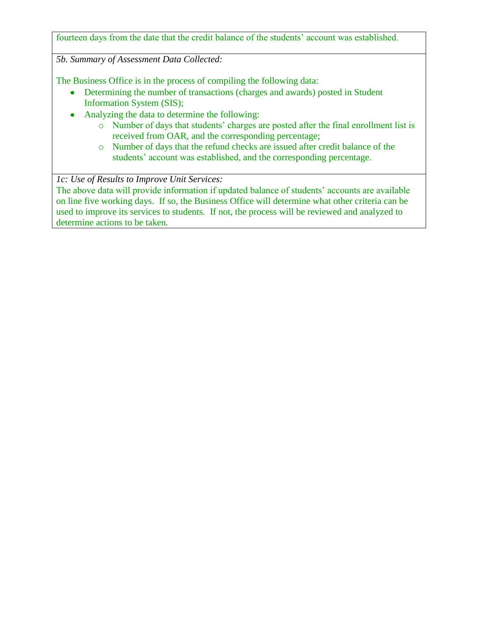fourteen days from the date that the credit balance of the students' account was established.

*5b. Summary of Assessment Data Collected:*

The Business Office is in the process of compiling the following data:

- Determining the number of transactions (charges and awards) posted in Student Information System (SIS);
- Analyzing the data to determine the following:
	- o Number of days that students' charges are posted after the final enrollment list is received from OAR, and the corresponding percentage;
	- o Number of days that the refund checks are issued after credit balance of the students' account was established, and the corresponding percentage.

*1c: Use of Results to Improve Unit Services:*

The above data will provide information if updated balance of students' accounts are available on line five working days. If so, the Business Office will determine what other criteria can be used to improve its services to students. If not, the process will be reviewed and analyzed to determine actions to be taken.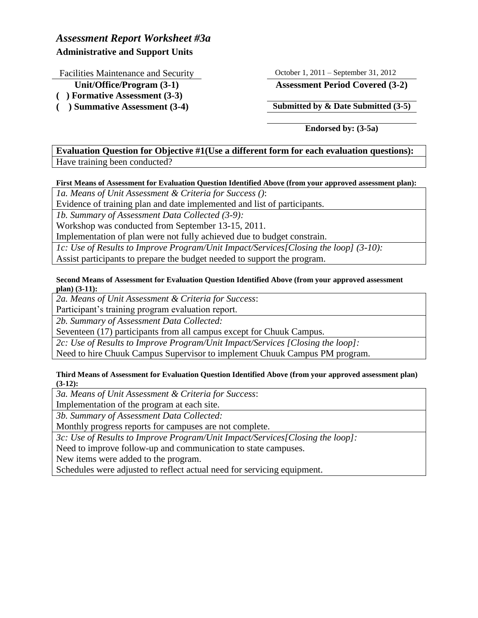# *Assessment Report Worksheet #3a* **Administrative and Support Units**

Facilities Maintenance and Security October 1, 2011 – September 31, 2012

- 
- **( ) Formative Assessment (3-3)**
- 

**Unit/Office/Program (3-1) Assessment Period Covered (3-2)**

**( ) Summative Assessment (3-4) Submitted by & Date Submitted (3-5)**

**Endorsed by: (3-5a)**

# **Evaluation Question for Objective #1(Use a different form for each evaluation questions):** Have training been conducted?

## **First Means of Assessment for Evaluation Question Identified Above (from your approved assessment plan):**

*1a. Means of Unit Assessment & Criteria for Success ()*:

Evidence of training plan and date implemented and list of participants.

*1b. Summary of Assessment Data Collected (3-9):*

Workshop was conducted from September 13-15, 2011.

Implementation of plan were not fully achieved due to budget constrain.

*1c: Use of Results to Improve Program/Unit Impact/Services[Closing the loop] (3-10):* Assist participants to prepare the budget needed to support the program.

**Second Means of Assessment for Evaluation Question Identified Above (from your approved assessment plan) (3-11):**

*2a. Means of Unit Assessment & Criteria for Success*:

Participant's training program evaluation report.

*2b. Summary of Assessment Data Collected:*

Seventeen (17) participants from all campus except for Chuuk Campus.

*2c: Use of Results to Improve Program/Unit Impact/Services [Closing the loop]:*

Need to hire Chuuk Campus Supervisor to implement Chuuk Campus PM program.

**Third Means of Assessment for Evaluation Question Identified Above (from your approved assessment plan) (3-12):**

*3a. Means of Unit Assessment & Criteria for Success*:

Implementation of the program at each site.

*3b. Summary of Assessment Data Collected:*

Monthly progress reports for campuses are not complete.

*3c: Use of Results to Improve Program/Unit Impact/Services[Closing the loop]:*

Need to improve follow-up and communication to state campuses.

New items were added to the program.

Schedules were adjusted to reflect actual need for servicing equipment.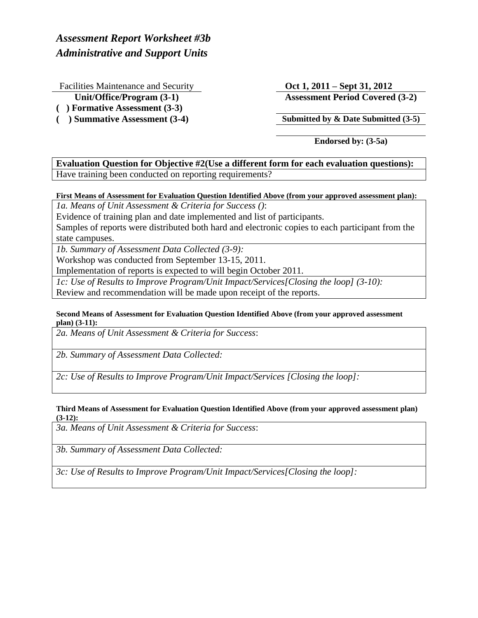*Assessment Report Worksheet #3b Administrative and Support Units*

Facilities Maintenance and Security **Oct 1, 2011 – Sept 31, 2012** 

- **( ) Formative Assessment (3-3)**
- 

**Unit/Office/Program (3-1) Assessment Period Covered (3-2)**

**( ) Summative Assessment (3-4) Submitted by & Date Submitted (3-5)**

**Endorsed by: (3-5a)**

**Evaluation Question for Objective #2(Use a different form for each evaluation questions):** Have training been conducted on reporting requirements?

**First Means of Assessment for Evaluation Question Identified Above (from your approved assessment plan):**

*1a. Means of Unit Assessment & Criteria for Success ()*:

Evidence of training plan and date implemented and list of participants.

Samples of reports were distributed both hard and electronic copies to each participant from the state campuses.

*1b. Summary of Assessment Data Collected (3-9):*

Workshop was conducted from September 13-15, 2011.

Implementation of reports is expected to will begin October 2011.

*1c: Use of Results to Improve Program/Unit Impact/Services[Closing the loop] (3-10):* Review and recommendation will be made upon receipt of the reports.

#### **Second Means of Assessment for Evaluation Question Identified Above (from your approved assessment plan) (3-11):**

*2a. Means of Unit Assessment & Criteria for Success*:

*2b. Summary of Assessment Data Collected:*

*2c: Use of Results to Improve Program/Unit Impact/Services [Closing the loop]:*

#### **Third Means of Assessment for Evaluation Question Identified Above (from your approved assessment plan) (3-12):**

*3a. Means of Unit Assessment & Criteria for Success*:

*3b. Summary of Assessment Data Collected:*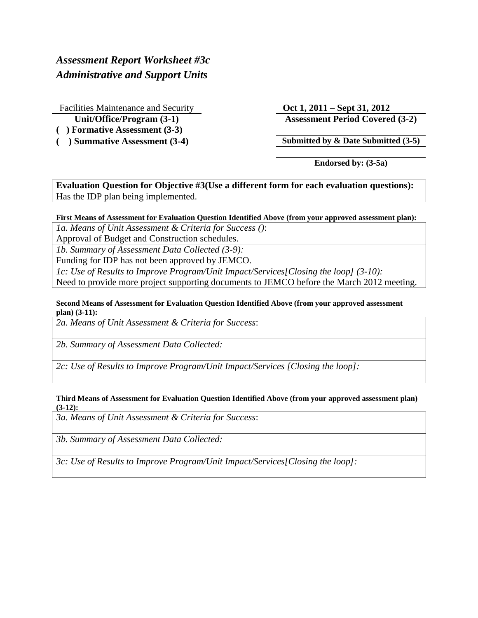# *Assessment Report Worksheet #3c Administrative and Support Units*

Facilities Maintenance and Security **Oct 1, 2011 – Sept 31, 2012**

- **( ) Formative Assessment (3-3)**
- 

**Unit/Office/Program (3-1) Assessment Period Covered (3-2)**

**( ) Summative Assessment (3-4) Submitted by & Date Submitted (3-5)**

**Endorsed by: (3-5a)**

**Evaluation Question for Objective #3(Use a different form for each evaluation questions):** Has the IDP plan being implemented.

### **First Means of Assessment for Evaluation Question Identified Above (from your approved assessment plan):**

*1a. Means of Unit Assessment & Criteria for Success ()*:

Approval of Budget and Construction schedules.

*1b. Summary of Assessment Data Collected (3-9):*

Funding for IDP has not been approved by JEMCO.

*1c: Use of Results to Improve Program/Unit Impact/Services[Closing the loop] (3-10):*

Need to provide more project supporting documents to JEMCO before the March 2012 meeting.

#### **Second Means of Assessment for Evaluation Question Identified Above (from your approved assessment plan) (3-11):**

*2a. Means of Unit Assessment & Criteria for Success*:

*2b. Summary of Assessment Data Collected:*

*2c: Use of Results to Improve Program/Unit Impact/Services [Closing the loop]:*

#### **Third Means of Assessment for Evaluation Question Identified Above (from your approved assessment plan) (3-12):**

*3a. Means of Unit Assessment & Criteria for Success*:

*3b. Summary of Assessment Data Collected:*